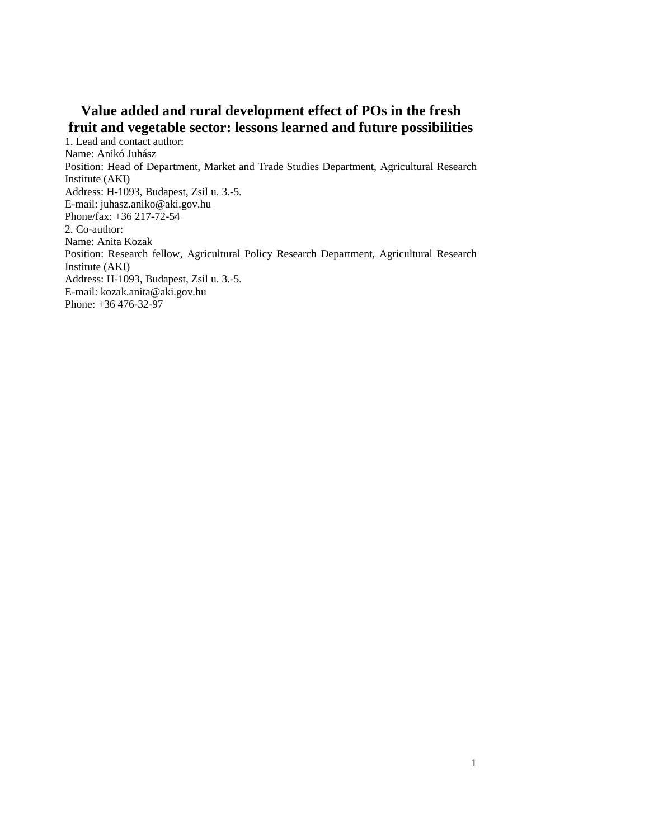# **Value added and rural development effect of POs in the fresh fruit and vegetable sector: lessons learned and future possibilities**

1. Lead and contact author: Name: Anikó Juhász Position: Head of Department, Market and Trade Studies Department, Agricultural Research Institute (AKI) Address: H-1093, Budapest, Zsil u. 3.-5. E-mail: juhasz.aniko@aki.gov.hu Phone/fax: +36 217-72-54 2. Co-author: Name: Anita Kozak Position: Research fellow, Agricultural Policy Research Department, Agricultural Research Institute (AKI) Address: H-1093, Budapest, Zsil u. 3.-5. E-mail: kozak.anita@aki.gov.hu Phone: +36 476-32-97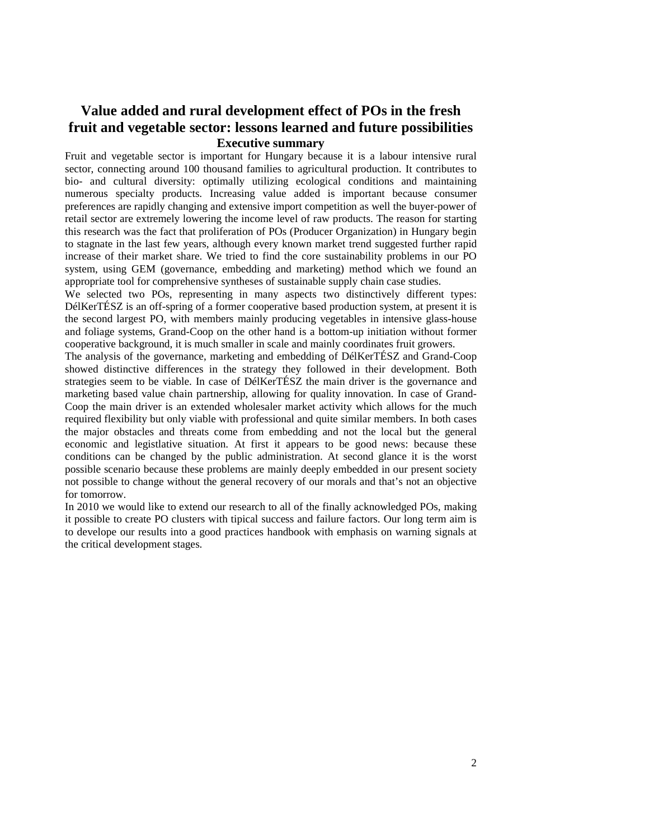### **Value added and rural development effect of POs in the fresh fruit and vegetable sector: lessons learned and future possibilities Executive summary**

Fruit and vegetable sector is important for Hungary because it is a labour intensive rural sector, connecting around 100 thousand families to agricultural production. It contributes to bio- and cultural diversity: optimally utilizing ecological conditions and maintaining numerous specialty products. Increasing value added is important because consumer preferences are rapidly changing and extensive import competition as well the buyer-power of retail sector are extremely lowering the income level of raw products. The reason for starting this research was the fact that proliferation of POs (Producer Organization) in Hungary begin to stagnate in the last few years, although every known market trend suggested further rapid increase of their market share. We tried to find the core sustainability problems in our PO system, using GEM (governance, embedding and marketing) method which we found an appropriate tool for comprehensive syntheses of sustainable supply chain case studies.

We selected two POs, representing in many aspects two distinctively different types: DélKerTÉSZ is an off-spring of a former cooperative based production system, at present it is the second largest PO, with members mainly producing vegetables in intensive glass-house and foliage systems, Grand-Coop on the other hand is a bottom-up initiation without former cooperative background, it is much smaller in scale and mainly coordinates fruit growers.

The analysis of the governance, marketing and embedding of DélKerTÉSZ and Grand-Coop showed distinctive differences in the strategy they followed in their development. Both strategies seem to be viable. In case of DélKerTÉSZ the main driver is the governance and marketing based value chain partnership, allowing for quality innovation. In case of Grand-Coop the main driver is an extended wholesaler market activity which allows for the much required flexibility but only viable with professional and quite similar members. In both cases the major obstacles and threats come from embedding and not the local but the general economic and legistlative situation. At first it appears to be good news: because these conditions can be changed by the public administration. At second glance it is the worst possible scenario because these problems are mainly deeply embedded in our present society not possible to change without the general recovery of our morals and that's not an objective for tomorrow.

In 2010 we would like to extend our research to all of the finally acknowledged POs, making it possible to create PO clusters with tipical success and failure factors. Our long term aim is to develope our results into a good practices handbook with emphasis on warning signals at the critical development stages.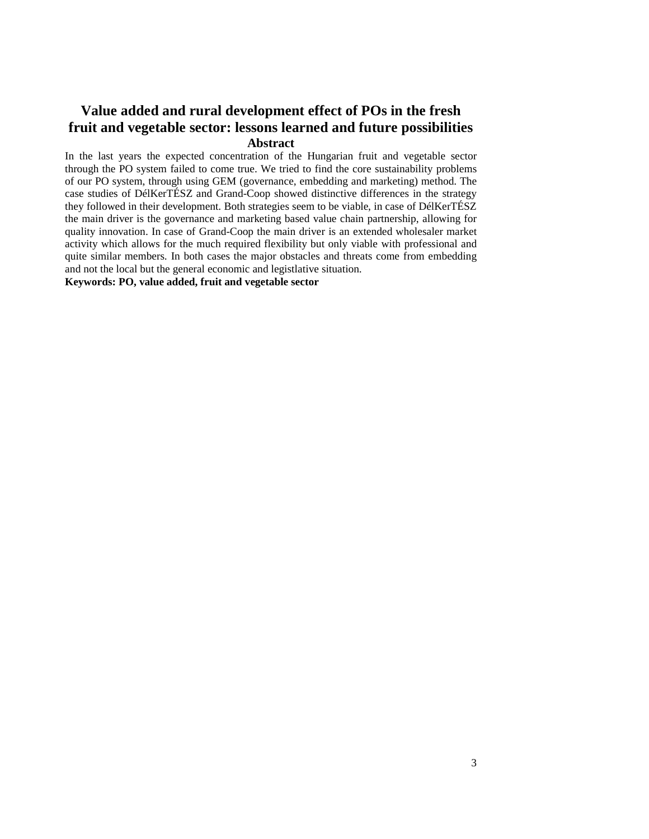## **Value added and rural development effect of POs in the fresh fruit and vegetable sector: lessons learned and future possibilities Abstract**

In the last years the expected concentration of the Hungarian fruit and vegetable sector through the PO system failed to come true. We tried to find the core sustainability problems of our PO system, through using GEM (governance, embedding and marketing) method. The case studies of DélKerTÉSZ and Grand-Coop showed distinctive differences in the strategy they followed in their development. Both strategies seem to be viable, in case of DélKerTÉSZ the main driver is the governance and marketing based value chain partnership, allowing for quality innovation. In case of Grand-Coop the main driver is an extended wholesaler market activity which allows for the much required flexibility but only viable with professional and quite similar members. In both cases the major obstacles and threats come from embedding and not the local but the general economic and legistlative situation.

**Keywords: PO, value added, fruit and vegetable sector**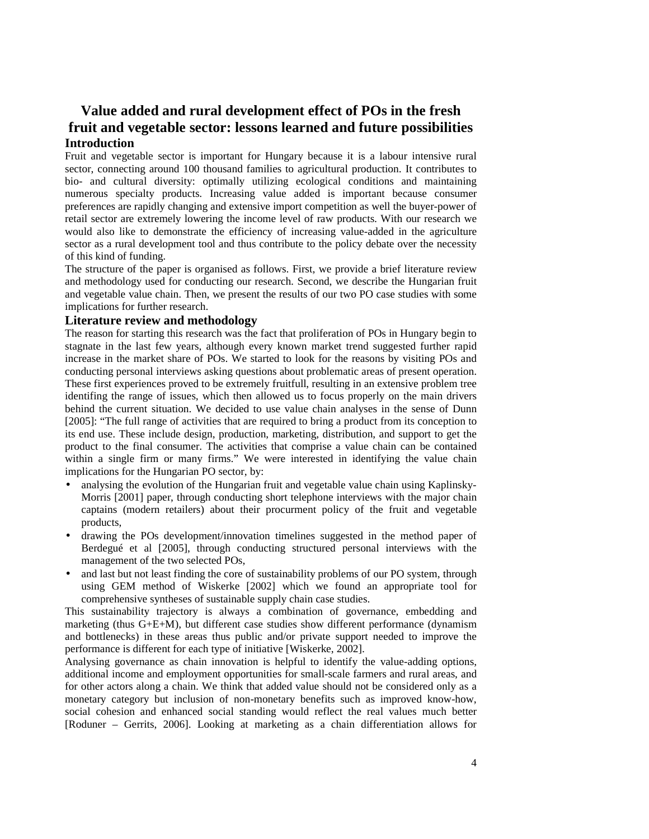## **Value added and rural development effect of POs in the fresh fruit and vegetable sector: lessons learned and future possibilities Introduction**

Fruit and vegetable sector is important for Hungary because it is a labour intensive rural sector, connecting around 100 thousand families to agricultural production. It contributes to bio- and cultural diversity: optimally utilizing ecological conditions and maintaining numerous specialty products. Increasing value added is important because consumer preferences are rapidly changing and extensive import competition as well the buyer-power of retail sector are extremely lowering the income level of raw products. With our research we would also like to demonstrate the efficiency of increasing value-added in the agriculture sector as a rural development tool and thus contribute to the policy debate over the necessity of this kind of funding.

The structure of the paper is organised as follows. First, we provide a brief literature review and methodology used for conducting our research. Second, we describe the Hungarian fruit and vegetable value chain. Then, we present the results of our two PO case studies with some implications for further research.

#### **Literature review and methodology**

The reason for starting this research was the fact that proliferation of POs in Hungary begin to stagnate in the last few years, although every known market trend suggested further rapid increase in the market share of POs. We started to look for the reasons by visiting POs and conducting personal interviews asking questions about problematic areas of present operation. These first experiences proved to be extremely fruitfull, resulting in an extensive problem tree identifing the range of issues, which then allowed us to focus properly on the main drivers behind the current situation. We decided to use value chain analyses in the sense of Dunn [2005]: "The full range of activities that are required to bring a product from its conception to its end use. These include design, production, marketing, distribution, and support to get the product to the final consumer. The activities that comprise a value chain can be contained within a single firm or many firms." We were interested in identifying the value chain implications for the Hungarian PO sector, by:

- analysing the evolution of the Hungarian fruit and vegetable value chain using Kaplinsky-Morris [2001] paper, through conducting short telephone interviews with the major chain captains (modern retailers) about their procurment policy of the fruit and vegetable products,
- drawing the POs development/innovation timelines suggested in the method paper of Berdegué et al [2005], through conducting structured personal interviews with the management of the two selected POs,
- and last but not least finding the core of sustainability problems of our PO system, through using GEM method of Wiskerke [2002] which we found an appropriate tool for comprehensive syntheses of sustainable supply chain case studies.

This sustainability trajectory is always a combination of governance, embedding and marketing (thus G+E+M), but different case studies show different performance (dynamism and bottlenecks) in these areas thus public and/or private support needed to improve the performance is different for each type of initiative [Wiskerke, 2002].

Analysing governance as chain innovation is helpful to identify the value-adding options, additional income and employment opportunities for small-scale farmers and rural areas, and for other actors along a chain. We think that added value should not be considered only as a monetary category but inclusion of non-monetary benefits such as improved know-how, social cohesion and enhanced social standing would reflect the real values much better [Roduner – Gerrits, 2006]. Looking at marketing as a chain differentiation allows for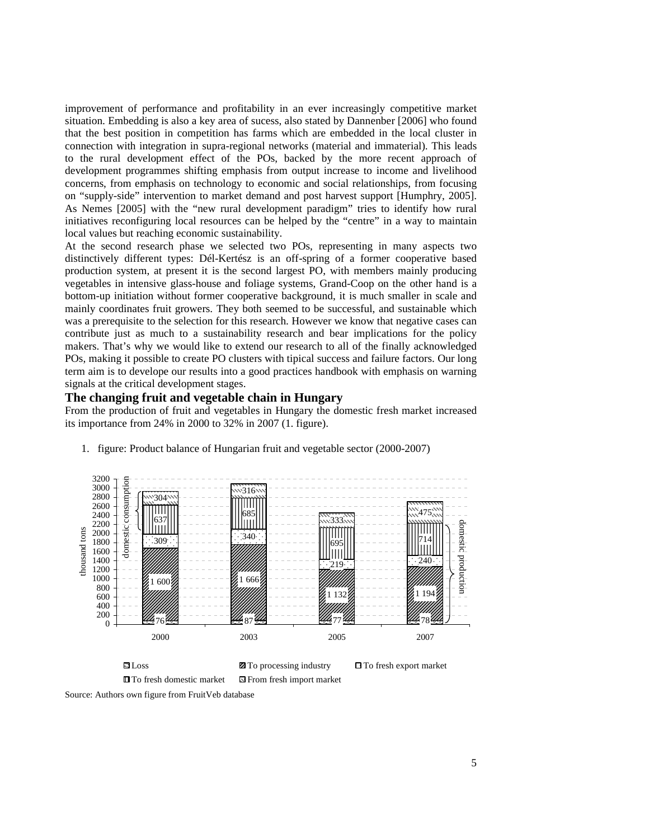improvement of performance and profitability in an ever increasingly competitive market situation. Embedding is also a key area of sucess, also stated by Dannenber [2006] who found that the best position in competition has farms which are embedded in the local cluster in connection with integration in supra-regional networks (material and immaterial). This leads to the rural development effect of the POs, backed by the more recent approach of development programmes shifting emphasis from output increase to income and livelihood concerns, from emphasis on technology to economic and social relationships, from focusing on "supply-side" intervention to market demand and post harvest support [Humphry, 2005]. As Nemes [2005] with the "new rural development paradigm" tries to identify how rural initiatives reconfiguring local resources can be helped by the "centre" in a way to maintain local values but reaching economic sustainability.

At the second research phase we selected two POs, representing in many aspects two distinctively different types: Dél-Kertész is an off-spring of a former cooperative based production system, at present it is the second largest PO, with members mainly producing vegetables in intensive glass-house and foliage systems, Grand-Coop on the other hand is a bottom-up initiation without former cooperative background, it is much smaller in scale and mainly coordinates fruit growers. They both seemed to be successful, and sustainable which was a prerequisite to the selection for this research. However we know that negative cases can contribute just as much to a sustainability research and bear implications for the policy makers. That's why we would like to extend our research to all of the finally acknowledged POs, making it possible to create PO clusters with tipical success and failure factors. Our long term aim is to develope our results into a good practices handbook with emphasis on warning signals at the critical development stages.

#### **The changing fruit and vegetable chain in Hungary**

From the production of fruit and vegetables in Hungary the domestic fresh market increased its importance from 24% in 2000 to 32% in 2007 (1. figure).



1. figure: Product balance of Hungarian fruit and vegetable sector (2000-2007)

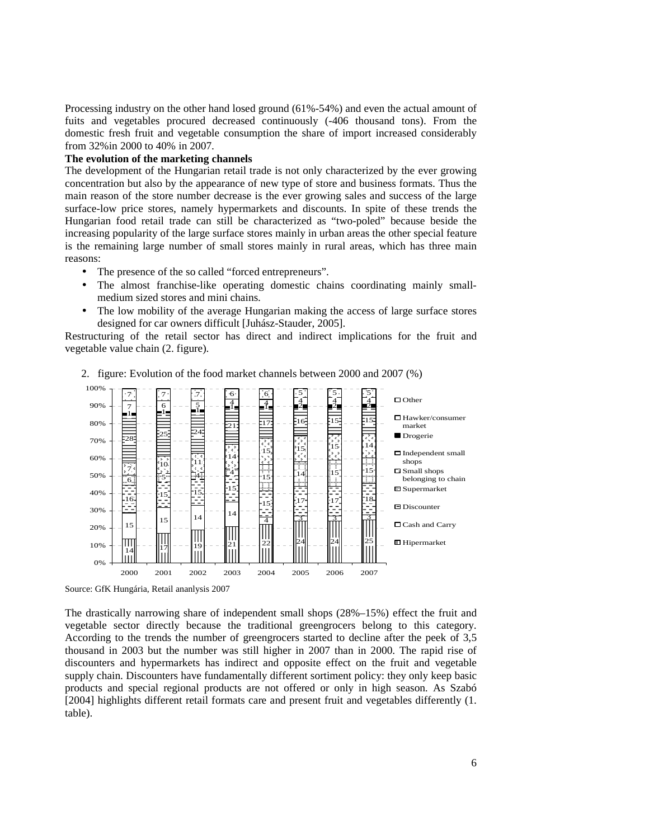Processing industry on the other hand losed ground (61%-54%) and even the actual amount of fuits and vegetables procured decreased continuously (-406 thousand tons). From the domestic fresh fruit and vegetable consumption the share of import increased considerably from 32%in 2000 to 40% in 2007.

#### **The evolution of the marketing channels**

The development of the Hungarian retail trade is not only characterized by the ever growing concentration but also by the appearance of new type of store and business formats. Thus the main reason of the store number decrease is the ever growing sales and success of the large surface-low price stores, namely hypermarkets and discounts. In spite of these trends the Hungarian food retail trade can still be characterized as "two-poled" because beside the increasing popularity of the large surface stores mainly in urban areas the other special feature is the remaining large number of small stores mainly in rural areas, which has three main reasons:

- The presence of the so called "forced entrepreneurs".
- The almost franchise-like operating domestic chains coordinating mainly smallmedium sized stores and mini chains.
- The low mobility of the average Hungarian making the access of large surface stores designed for car owners difficult [Juhász-Stauder, 2005].

Restructuring of the retail sector has direct and indirect implications for the fruit and vegetable value chain (2. figure).



2. figure: Evolution of the food market channels between 2000 and 2007 (%)

Source: GfK Hungária, Retail ananlysis 2007

The drastically narrowing share of independent small shops (28%–15%) effect the fruit and vegetable sector directly because the traditional greengrocers belong to this category. According to the trends the number of greengrocers started to decline after the peek of 3,5 thousand in 2003 but the number was still higher in 2007 than in 2000. The rapid rise of discounters and hypermarkets has indirect and opposite effect on the fruit and vegetable supply chain. Discounters have fundamentally different sortiment policy: they only keep basic products and special regional products are not offered or only in high season. As Szabó [2004] highlights different retail formats care and present fruit and vegetables differently (1. table).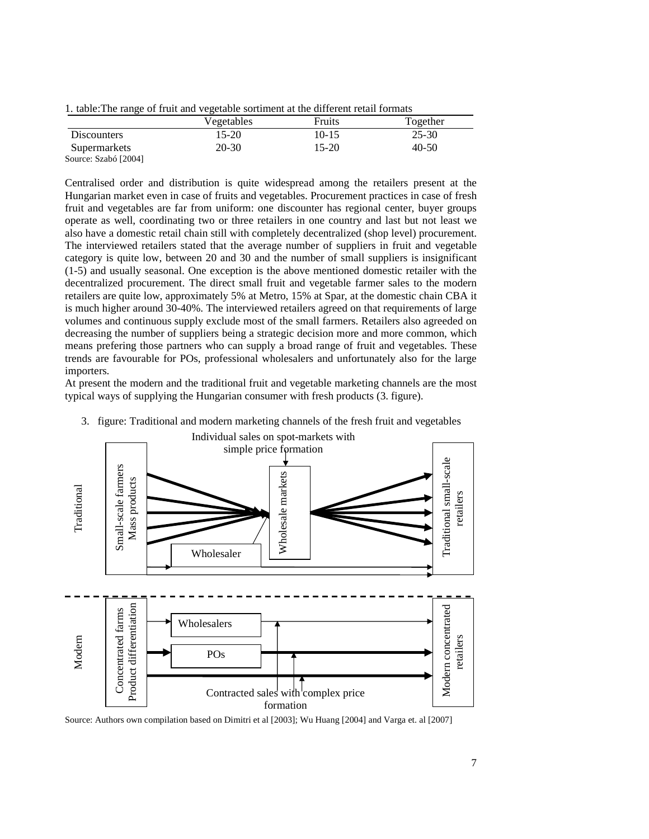1. table:The range of fruit and vegetable sortiment at the different retail formats

|                      | Vegetables | Fruits    | Together  |
|----------------------|------------|-----------|-----------|
| <b>Discounters</b>   | $15-20$    | $10 - 15$ | $25 - 30$ |
| Supermarkets         | 20-30      | $15-20$   | 40-50     |
| Source: Szabó [2004] |            |           |           |

Centralised order and distribution is quite widespread among the retailers present at the Hungarian market even in case of fruits and vegetables. Procurement practices in case of fresh fruit and vegetables are far from uniform: one discounter has regional center, buyer groups operate as well, coordinating two or three retailers in one country and last but not least we also have a domestic retail chain still with completely decentralized (shop level) procurement. The interviewed retailers stated that the average number of suppliers in fruit and vegetable category is quite low, between 20 and 30 and the number of small suppliers is insignificant (1-5) and usually seasonal. One exception is the above mentioned domestic retailer with the decentralized procurement. The direct small fruit and vegetable farmer sales to the modern retailers are quite low, approximately 5% at Metro, 15% at Spar, at the domestic chain CBA it is much higher around 30-40%. The interviewed retailers agreed on that requirements of large volumes and continuous supply exclude most of the small farmers. Retailers also agreeded on decreasing the number of suppliers being a strategic decision more and more common, which means prefering those partners who can supply a broad range of fruit and vegetables. These trends are favourable for POs, professional wholesalers and unfortunately also for the large importers.

At present the modern and the traditional fruit and vegetable marketing channels are the most typical ways of supplying the Hungarian consumer with fresh products (3. figure).



3. figure: Traditional and modern marketing channels of the fresh fruit and vegetables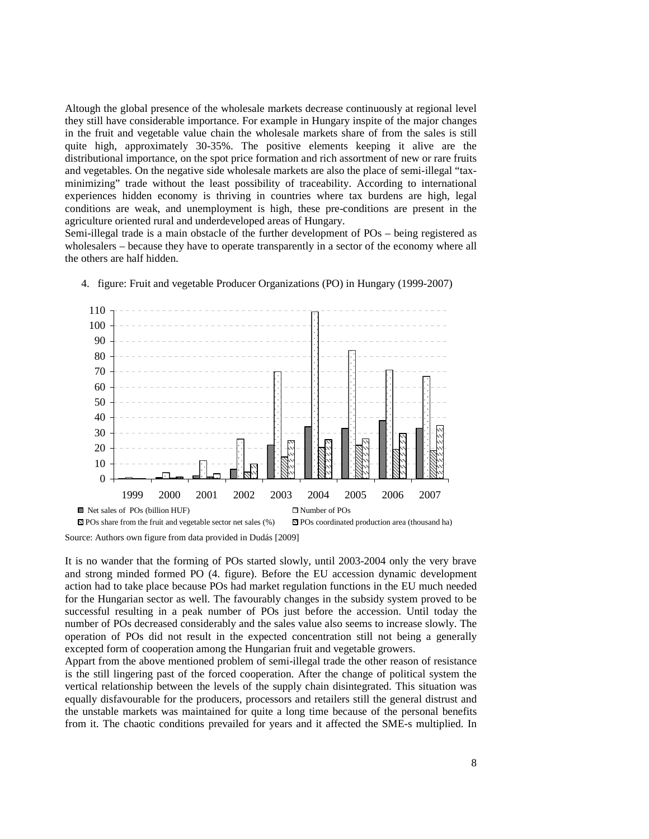Altough the global presence of the wholesale markets decrease continuously at regional level they still have considerable importance. For example in Hungary inspite of the major changes in the fruit and vegetable value chain the wholesale markets share of from the sales is still quite high, approximately 30-35%. The positive elements keeping it alive are the distributional importance, on the spot price formation and rich assortment of new or rare fruits and vegetables. On the negative side wholesale markets are also the place of semi-illegal "taxminimizing" trade without the least possibility of traceability. According to international experiences hidden economy is thriving in countries where tax burdens are high, legal conditions are weak, and unemployment is high, these pre-conditions are present in the agriculture oriented rural and underdeveloped areas of Hungary.

Semi-illegal trade is a main obstacle of the further development of POs – being registered as wholesalers – because they have to operate transparently in a sector of the economy where all the others are half hidden.



4. figure: Fruit and vegetable Producer Organizations (PO) in Hungary (1999-2007)

Source: Authors own figure from data provided in Dudás [2009]

It is no wander that the forming of POs started slowly, until 2003-2004 only the very brave and strong minded formed PO (4. figure). Before the EU accession dynamic development action had to take place because POs had market regulation functions in the EU much needed for the Hungarian sector as well. The favourably changes in the subsidy system proved to be successful resulting in a peak number of POs just before the accession. Until today the number of POs decreased considerably and the sales value also seems to increase slowly. The operation of POs did not result in the expected concentration still not being a generally excepted form of cooperation among the Hungarian fruit and vegetable growers.

Appart from the above mentioned problem of semi-illegal trade the other reason of resistance is the still lingering past of the forced cooperation. After the change of political system the vertical relationship between the levels of the supply chain disintegrated. This situation was equally disfavourable for the producers, processors and retailers still the general distrust and the unstable markets was maintained for quite a long time because of the personal benefits from it. The chaotic conditions prevailed for years and it affected the SME-s multiplied. In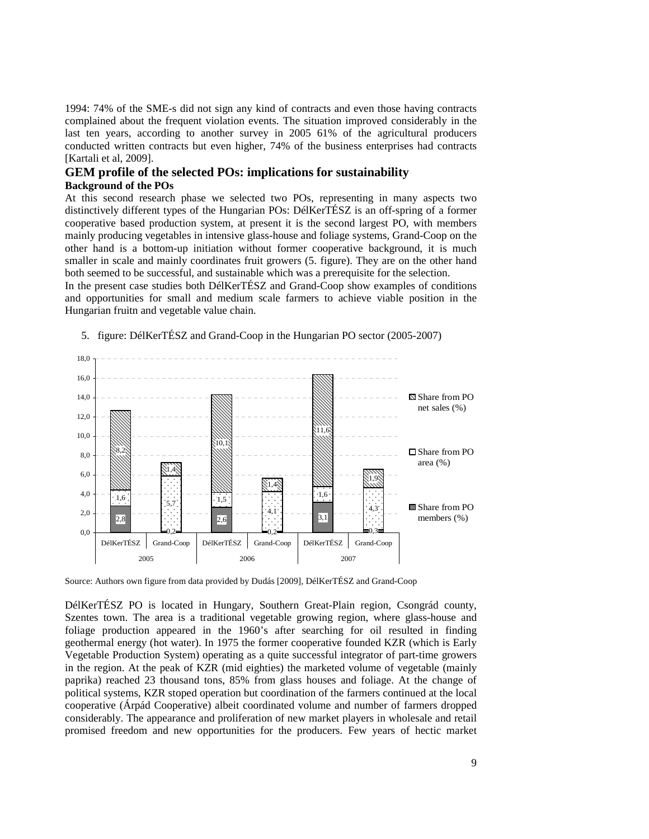1994: 74% of the SME-s did not sign any kind of contracts and even those having contracts complained about the frequent violation events. The situation improved considerably in the last ten years, according to another survey in 2005 61% of the agricultural producers conducted written contracts but even higher, 74% of the business enterprises had contracts [Kartali et al, 2009].

#### **GEM profile of the selected POs: implications for sustainability Background of the POs**

At this second research phase we selected two POs, representing in many aspects two distinctively different types of the Hungarian POs: DélKerTÉSZ is an off-spring of a former cooperative based production system, at present it is the second largest PO, with members mainly producing vegetables in intensive glass-house and foliage systems, Grand-Coop on the other hand is a bottom-up initiation without former cooperative background, it is much smaller in scale and mainly coordinates fruit growers (5. figure). They are on the other hand both seemed to be successful, and sustainable which was a prerequisite for the selection.

In the present case studies both DélKerTÉSZ and Grand-Coop show examples of conditions and opportunities for small and medium scale farmers to achieve viable position in the Hungarian fruitn and vegetable value chain.



5. figure: DélKerTÉSZ and Grand-Coop in the Hungarian PO sector (2005-2007)

Source: Authors own figure from data provided by Dudás [2009], DélKerTÉSZ and Grand-Coop

DélKerTÉSZ PO is located in Hungary, Southern Great-Plain region, Csongrád county, Szentes town. The area is a traditional vegetable growing region, where glass-house and foliage production appeared in the 1960's after searching for oil resulted in finding geothermal energy (hot water). In 1975 the former cooperative founded KZR (which is Early Vegetable Production System) operating as a quite successful integrator of part-time growers in the region. At the peak of KZR (mid eighties) the marketed volume of vegetable (mainly paprika) reached 23 thousand tons, 85% from glass houses and foliage. At the change of political systems, KZR stoped operation but coordination of the farmers continued at the local cooperative (Árpád Cooperative) albeit coordinated volume and number of farmers dropped considerably. The appearance and proliferation of new market players in wholesale and retail promised freedom and new opportunities for the producers. Few years of hectic market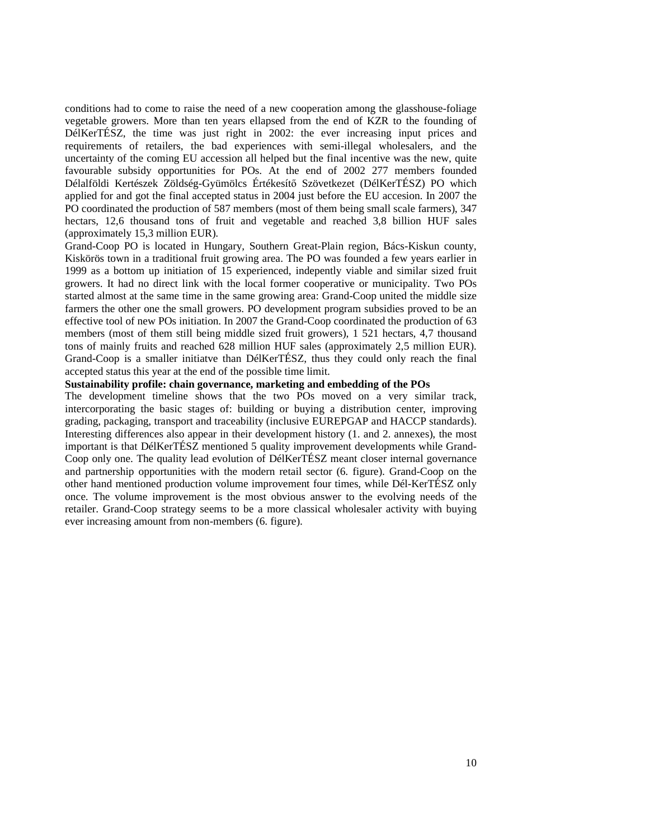conditions had to come to raise the need of a new cooperation among the glasshouse-foliage vegetable growers. More than ten years ellapsed from the end of KZR to the founding of DélKerTÉSZ, the time was just right in 2002: the ever increasing input prices and requirements of retailers, the bad experiences with semi-illegal wholesalers, and the uncertainty of the coming EU accession all helped but the final incentive was the new, quite favourable subsidy opportunities for POs. At the end of 2002 277 members founded Délalföldi Kertészek Zöldség-Gyümölcs Értékesítő Szövetkezet (DélKerTÉSZ) PO which applied for and got the final accepted status in 2004 just before the EU accesion. In 2007 the PO coordinated the production of 587 members (most of them being small scale farmers), 347 hectars, 12,6 thousand tons of fruit and vegetable and reached 3,8 billion HUF sales (approximately 15,3 million EUR).

Grand-Coop PO is located in Hungary, Southern Great-Plain region, Bács-Kiskun county, Kiskörös town in a traditional fruit growing area. The PO was founded a few years earlier in 1999 as a bottom up initiation of 15 experienced, indepently viable and similar sized fruit growers. It had no direct link with the local former cooperative or municipality. Two POs started almost at the same time in the same growing area: Grand-Coop united the middle size farmers the other one the small growers. PO development program subsidies proved to be an effective tool of new POs initiation. In 2007 the Grand-Coop coordinated the production of 63 members (most of them still being middle sized fruit growers), 1 521 hectars, 4,7 thousand tons of mainly fruits and reached 628 million HUF sales (approximately 2,5 million EUR). Grand-Coop is a smaller initiatve than DélKerTÉSZ, thus they could only reach the final accepted status this year at the end of the possible time limit.

#### **Sustainability profile: chain governance, marketing and embedding of the POs**

The development timeline shows that the two POs moved on a very similar track, intercorporating the basic stages of: building or buying a distribution center, improving grading, packaging, transport and traceability (inclusive EUREPGAP and HACCP standards). Interesting differences also appear in their development history (1. and 2. annexes), the most important is that DélKerTÉSZ mentioned 5 quality improvement developments while Grand-Coop only one. The quality lead evolution of DélKerTÉSZ meant closer internal governance and partnership opportunities with the modern retail sector (6. figure). Grand-Coop on the other hand mentioned production volume improvement four times, while Dél-KerTÉSZ only once. The volume improvement is the most obvious answer to the evolving needs of the retailer. Grand-Coop strategy seems to be a more classical wholesaler activity with buying ever increasing amount from non-members (6. figure).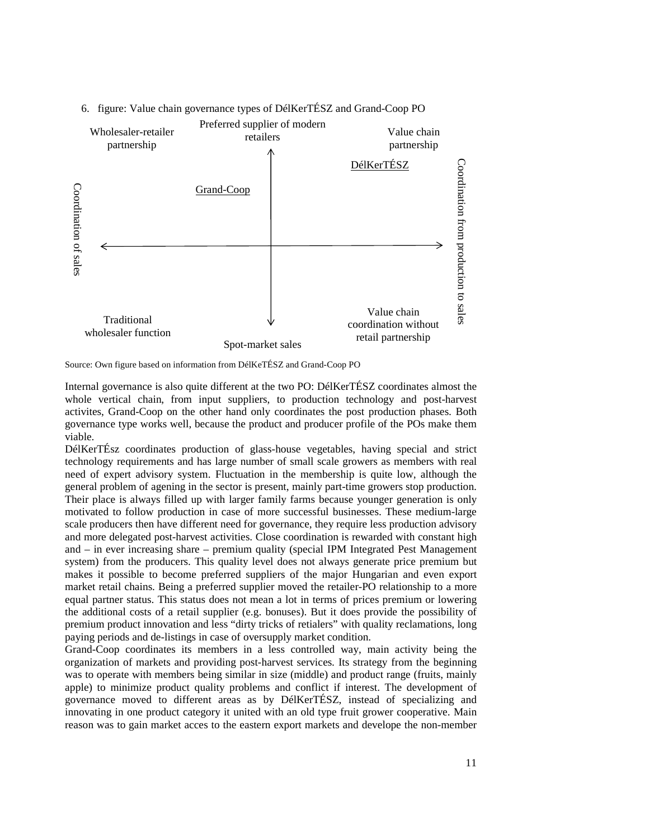

### 6. figure: Value chain governance types of DélKerTÉSZ and Grand-Coop PO

Internal governance is also quite different at the two PO: DélKerTÉSZ coordinates almost the whole vertical chain, from input suppliers, to production technology and post-harvest activites, Grand-Coop on the other hand only coordinates the post production phases. Both governance type works well, because the product and producer profile of the POs make them viable.

DélKerTÉsz coordinates production of glass-house vegetables, having special and strict technology requirements and has large number of small scale growers as members with real need of expert advisory system. Fluctuation in the membership is quite low, although the general problem of agening in the sector is present, mainly part-time growers stop production. Their place is always filled up with larger family farms because younger generation is only motivated to follow production in case of more successful businesses. These medium-large scale producers then have different need for governance, they require less production advisory and more delegated post-harvest activities. Close coordination is rewarded with constant high and – in ever increasing share – premium quality (special IPM Integrated Pest Management system) from the producers. This quality level does not always generate price premium but makes it possible to become preferred suppliers of the major Hungarian and even export market retail chains. Being a preferred supplier moved the retailer-PO relationship to a more equal partner status. This status does not mean a lot in terms of prices premium or lowering the additional costs of a retail supplier (e.g. bonuses). But it does provide the possibility of premium product innovation and less "dirty tricks of retialers" with quality reclamations, long paying periods and de-listings in case of oversupply market condition.

Grand-Coop coordinates its members in a less controlled way, main activity being the organization of markets and providing post-harvest services. Its strategy from the beginning was to operate with members being similar in size (middle) and product range (fruits, mainly apple) to minimize product quality problems and conflict if interest. The development of governance moved to different areas as by DélKerTÉSZ, instead of specializing and innovating in one product category it united with an old type fruit grower cooperative. Main reason was to gain market acces to the eastern export markets and develope the non-member

Source: Own figure based on information from DélKeTÉSZ and Grand-Coop PO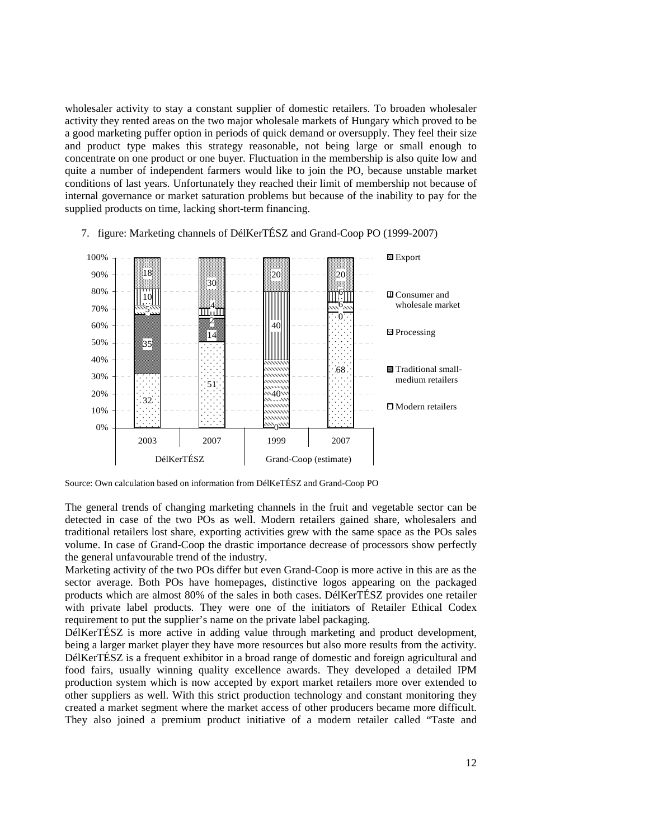wholesaler activity to stay a constant supplier of domestic retailers. To broaden wholesaler activity they rented areas on the two major wholesale markets of Hungary which proved to be a good marketing puffer option in periods of quick demand or oversupply. They feel their size and product type makes this strategy reasonable, not being large or small enough to concentrate on one product or one buyer. Fluctuation in the membership is also quite low and quite a number of independent farmers would like to join the PO, because unstable market conditions of last years. Unfortunately they reached their limit of membership not because of internal governance or market saturation problems but because of the inability to pay for the supplied products on time, lacking short-term financing.



7. figure: Marketing channels of DélKerTÉSZ and Grand-Coop PO (1999-2007)

Source: Own calculation based on information from DélKeTÉSZ and Grand-Coop PO

The general trends of changing marketing channels in the fruit and vegetable sector can be detected in case of the two POs as well. Modern retailers gained share, wholesalers and traditional retailers lost share, exporting activities grew with the same space as the POs sales volume. In case of Grand-Coop the drastic importance decrease of processors show perfectly the general unfavourable trend of the industry.

Marketing activity of the two POs differ but even Grand-Coop is more active in this are as the sector average. Both POs have homepages, distinctive logos appearing on the packaged products which are almost 80% of the sales in both cases. DélKerTÉSZ provides one retailer with private label products. They were one of the initiators of Retailer Ethical Codex requirement to put the supplier's name on the private label packaging.

DélKerTÉSZ is more active in adding value through marketing and product development, being a larger market player they have more resources but also more results from the activity. DélKerTÉSZ is a frequent exhibitor in a broad range of domestic and foreign agricultural and food fairs, usually winning quality excellence awards. They developed a detailed IPM production system which is now accepted by export market retailers more over extended to other suppliers as well. With this strict production technology and constant monitoring they created a market segment where the market access of other producers became more difficult. They also joined a premium product initiative of a modern retailer called "Taste and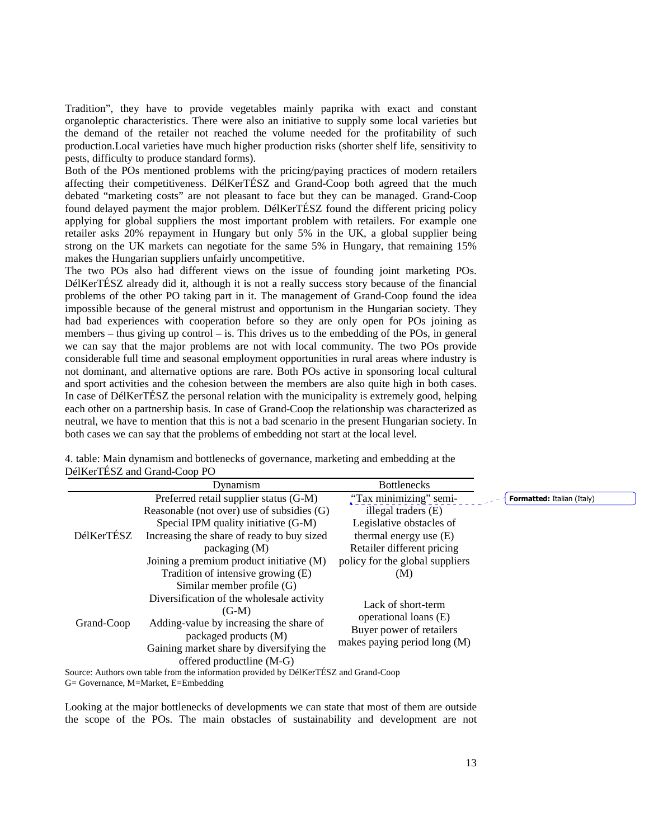Tradition", they have to provide vegetables mainly paprika with exact and constant organoleptic characteristics. There were also an initiative to supply some local varieties but the demand of the retailer not reached the volume needed for the profitability of such production.Local varieties have much higher production risks (shorter shelf life, sensitivity to pests, difficulty to produce standard forms).

Both of the POs mentioned problems with the pricing/paying practices of modern retailers affecting their competitiveness. DélKerTÉSZ and Grand-Coop both agreed that the much debated "marketing costs" are not pleasant to face but they can be managed. Grand-Coop found delayed payment the major problem. DélKerTÉSZ found the different pricing policy applying for global suppliers the most important problem with retailers. For example one retailer asks 20% repayment in Hungary but only 5% in the UK, a global supplier being strong on the UK markets can negotiate for the same 5% in Hungary, that remaining 15% makes the Hungarian suppliers unfairly uncompetitive.

The two POs also had different views on the issue of founding joint marketing POs. DélKerTÉSZ already did it, although it is not a really success story because of the financial problems of the other PO taking part in it. The management of Grand-Coop found the idea impossible because of the general mistrust and opportunism in the Hungarian society. They had bad experiences with cooperation before so they are only open for POs joining as members – thus giving up control – is. This drives us to the embedding of the POs, in general we can say that the major problems are not with local community. The two POs provide considerable full time and seasonal employment opportunities in rural areas where industry is not dominant, and alternative options are rare. Both POs active in sponsoring local cultural and sport activities and the cohesion between the members are also quite high in both cases. In case of DélKerTÉSZ the personal relation with the municipality is extremely good, helping each other on a partnership basis. In case of Grand-Coop the relationship was characterized as neutral, we have to mention that this is not a bad scenario in the present Hungarian society. In both cases we can say that the problems of embedding not start at the local level.

|            | Dynamism                                                                             | <b>Bottlenecks</b>                                                                                      |                                   |
|------------|--------------------------------------------------------------------------------------|---------------------------------------------------------------------------------------------------------|-----------------------------------|
|            | Preferred retail supplier status (G-M)                                               | "Tax minimizing" semi-                                                                                  | <b>Formatted:</b> Italian (Italy) |
|            | Reasonable (not over) use of subsidies (G)                                           | illegal traders (E)                                                                                     |                                   |
| DélKerTÉSZ | Special IPM quality initiative (G-M)                                                 | Legislative obstacles of                                                                                |                                   |
|            | Increasing the share of ready to buy sized                                           | thermal energy use $(E)$                                                                                |                                   |
|            | package(M)                                                                           | Retailer different pricing                                                                              |                                   |
|            | Joining a premium product initiative (M)                                             | policy for the global suppliers                                                                         |                                   |
|            | Tradition of intensive growing (E)                                                   | (M)                                                                                                     |                                   |
|            | Similar member profile (G)                                                           |                                                                                                         |                                   |
| Grand-Coop | Diversification of the wholesale activity                                            | Lack of short-term<br>operational loans (E)<br>Buyer power of retailers<br>makes paying period long (M) |                                   |
|            | $(G-M)$                                                                              |                                                                                                         |                                   |
|            | Adding-value by increasing the share of                                              |                                                                                                         |                                   |
|            | packaged products (M)                                                                |                                                                                                         |                                   |
|            | Gaining market share by diversifying the                                             |                                                                                                         |                                   |
|            | offered productline (M-G)                                                            |                                                                                                         |                                   |
|            | Source: Authors own table from the information provided by DélKerTÉSZ and Grand-Coop |                                                                                                         |                                   |
|            | G= Governance, M=Market, E=Embedding                                                 |                                                                                                         |                                   |

4. table: Main dynamism and bottlenecks of governance, marketing and embedding at the DélKerTÉSZ and Grand-Coop PO

Looking at the major bottlenecks of developments we can state that most of them are outside the scope of the POs. The main obstacles of sustainability and development are not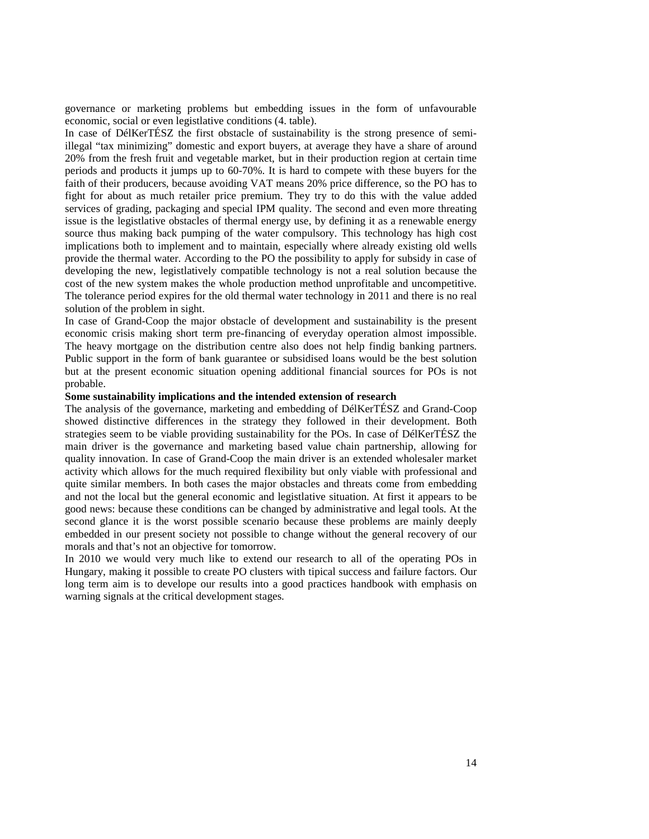governance or marketing problems but embedding issues in the form of unfavourable economic, social or even legistlative conditions (4. table).

In case of DélKerTÉSZ the first obstacle of sustainability is the strong presence of semiillegal "tax minimizing" domestic and export buyers, at average they have a share of around 20% from the fresh fruit and vegetable market, but in their production region at certain time periods and products it jumps up to 60-70%. It is hard to compete with these buyers for the faith of their producers, because avoiding VAT means 20% price difference, so the PO has to fight for about as much retailer price premium. They try to do this with the value added services of grading, packaging and special IPM quality. The second and even more threating issue is the legistlative obstacles of thermal energy use, by defining it as a renewable energy source thus making back pumping of the water compulsory. This technology has high cost implications both to implement and to maintain, especially where already existing old wells provide the thermal water. According to the PO the possibility to apply for subsidy in case of developing the new, legistlatively compatible technology is not a real solution because the cost of the new system makes the whole production method unprofitable and uncompetitive. The tolerance period expires for the old thermal water technology in 2011 and there is no real solution of the problem in sight.

In case of Grand-Coop the major obstacle of development and sustainability is the present economic crisis making short term pre-financing of everyday operation almost impossible. The heavy mortgage on the distribution centre also does not help findig banking partners. Public support in the form of bank guarantee or subsidised loans would be the best solution but at the present economic situation opening additional financial sources for POs is not probable.

#### **Some sustainability implications and the intended extension of research**

The analysis of the governance, marketing and embedding of DélKerTÉSZ and Grand-Coop showed distinctive differences in the strategy they followed in their development. Both strategies seem to be viable providing sustainability for the POs. In case of DélKerTÉSZ the main driver is the governance and marketing based value chain partnership, allowing for quality innovation. In case of Grand-Coop the main driver is an extended wholesaler market activity which allows for the much required flexibility but only viable with professional and quite similar members. In both cases the major obstacles and threats come from embedding and not the local but the general economic and legistlative situation. At first it appears to be good news: because these conditions can be changed by administrative and legal tools. At the second glance it is the worst possible scenario because these problems are mainly deeply embedded in our present society not possible to change without the general recovery of our morals and that's not an objective for tomorrow.

In 2010 we would very much like to extend our research to all of the operating POs in Hungary, making it possible to create PO clusters with tipical success and failure factors. Our long term aim is to develope our results into a good practices handbook with emphasis on warning signals at the critical development stages.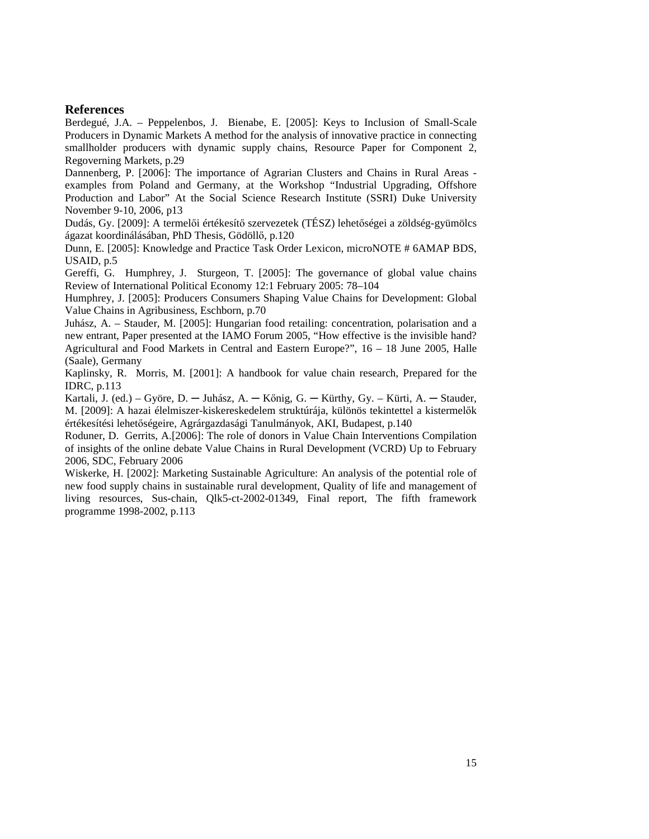#### **References**

Berdegué, J.A. – Peppelenbos, J. Bienabe, E. [2005]: Keys to Inclusion of Small-Scale Producers in Dynamic Markets A method for the analysis of innovative practice in connecting smallholder producers with dynamic supply chains, Resource Paper for Component 2, Regoverning Markets, p.29

Dannenberg, P. [2006]: The importance of Agrarian Clusters and Chains in Rural Areas examples from Poland and Germany, at the Workshop "Industrial Upgrading, Offshore Production and Labor" At the Social Science Research Institute (SSRI) Duke University November 9-10, 2006, p13

Dudás, Gy. [2009]: A termelői értékesítő szervezetek (TÉSZ) lehetőségei a zöldség-gyümölcs ágazat koordinálásában, PhD Thesis, Gödöllő, p.120

Dunn, E. [2005]: Knowledge and Practice Task Order Lexicon, microNOTE # 6AMAP BDS, USAID, p.5

Gereffi, G. Humphrey, J. Sturgeon, T. [2005]: The governance of global value chains Review of International Political Economy 12:1 February 2005: 78–104

Humphrey, J. [2005]: Producers Consumers Shaping Value Chains for Development: Global Value Chains in Agribusiness, Eschborn, p.70

Juhász, A. – Stauder, M. [2005]: Hungarian food retailing: concentration, polarisation and a new entrant, Paper presented at the IAMO Forum 2005, "How effective is the invisible hand? Agricultural and Food Markets in Central and Eastern Europe?", 16 – 18 June 2005, Halle (Saale), Germany

Kaplinsky, R. Morris, M. [2001]: A handbook for value chain research, Prepared for the IDRC, p.113

Kartali, J. (ed.) – Györe, D. — Juhász, A. — Kőnig, G. — Kürthy, Gy. – Kürti, A. — Stauder, M. [2009]: A hazai élelmiszer-kiskereskedelem struktúrája, különös tekintettel a kistermelők értékesítési lehetőségeire, Agrárgazdasági Tanulmányok, AKI, Budapest, p.140

Roduner, D. Gerrits, A.[2006]: The role of donors in Value Chain Interventions Compilation of insights of the online debate Value Chains in Rural Development (VCRD) Up to February 2006, SDC, February 2006

Wiskerke, H. [2002]: Marketing Sustainable Agriculture: An analysis of the potential role of new food supply chains in sustainable rural development, Quality of life and management of living resources, Sus-chain, Qlk5-ct-2002-01349, Final report, The fifth framework programme 1998-2002, p.113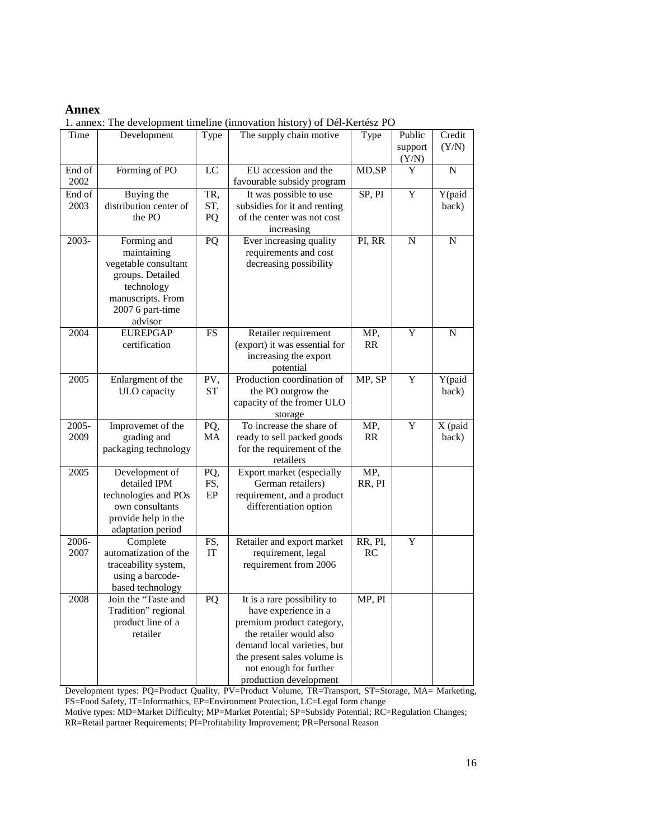### **Annex**

1. annex: The development timeline (innovation history) of Dél-Kertész PO

| Time   | Development            | Type      | The supply chain motive       | Type    | Public  | Credit      |
|--------|------------------------|-----------|-------------------------------|---------|---------|-------------|
|        |                        |           |                               |         | support | (Y/N)       |
|        |                        |           |                               |         | (Y/N)   |             |
| End of | Forming of PO          | LC        | EU accession and the          | MD,SP   | Y       | N           |
| 2002   |                        |           | favourable subsidy program    |         |         |             |
| End of | Buying the             | TR,       | It was possible to use        | SP, PI  | Y       | Y(paid      |
| 2003   | distribution center of | ST,       | subsidies for it and renting  |         |         | back)       |
|        | the PO                 | PQ        | of the center was not cost    |         |         |             |
|        |                        |           | increasing                    |         |         |             |
| 2003-  | Forming and            | PQ        | Ever increasing quality       | PI, RR  | N       | N           |
|        | maintaining            |           | requirements and cost         |         |         |             |
|        | vegetable consultant   |           | decreasing possibility        |         |         |             |
|        | groups. Detailed       |           |                               |         |         |             |
|        | technology             |           |                               |         |         |             |
|        | manuscripts. From      |           |                               |         |         |             |
|        | 2007 6 part-time       |           |                               |         |         |             |
|        | advisor                |           |                               |         |         |             |
| 2004   | <b>EUREPGAP</b>        | FS        | Retailer requirement          | MP,     | Y       | $\mathbf N$ |
|        | certification          |           | (export) it was essential for | RR      |         |             |
|        |                        |           | increasing the export         |         |         |             |
|        |                        |           | potential                     |         |         |             |
| 2005   | Enlargment of the      | PV,       | Production coordination of    | MP, SP  | Y       | Y(paid      |
|        | ULO capacity           | <b>ST</b> | the PO outgrow the            |         |         | back)       |
|        |                        |           | capacity of the fromer ULO    |         |         |             |
|        |                        |           | storage                       |         |         |             |
| 2005-  | Improvemet of the      | PQ,       | To increase the share of      | MP,     | Y       | X (paid     |
| 2009   | grading and            | MA        | ready to sell packed goods    | RR      |         | back)       |
|        | packaging technology   |           | for the requirement of the    |         |         |             |
|        |                        |           | retailers                     |         |         |             |
| 2005   | Development of         | PQ,       | Export market (especially     | MP,     |         |             |
|        | detailed IPM           | FS,       | German retailers)             | RR, PI  |         |             |
|        | technologies and POs   | EP        | requirement, and a product    |         |         |             |
|        | own consultants        |           | differentiation option        |         |         |             |
|        | provide help in the    |           |                               |         |         |             |
|        | adaptation period      |           |                               |         |         |             |
| 2006-  | Complete               | FS,       | Retailer and export market    | RR, PI, | Y       |             |
| 2007   | automatization of the  | IT        | requirement, legal            | RC      |         |             |
|        | traceability system,   |           | requirement from 2006         |         |         |             |
|        | using a barcode-       |           |                               |         |         |             |
|        | based technology       |           |                               |         |         |             |
| 2008   | Join the "Taste and    | PQ        | It is a rare possibility to   | MP, PI  |         |             |
|        | Tradition" regional    |           | have experience in a          |         |         |             |
|        | product line of a      |           | premium product category,     |         |         |             |
|        | retailer               |           | the retailer would also       |         |         |             |
|        |                        |           | demand local varieties, but   |         |         |             |
|        |                        |           | the present sales volume is   |         |         |             |
|        |                        |           | not enough for further        |         |         |             |
|        |                        |           | production development        |         |         |             |

Development types: PQ=Product Quality, PV=Product Volume, TR=Transport, ST=Storage, MA= Marketing, FS=Food Safety, IT=Informathics, EP=Environment Protection, LC=Legal form change

Motive types: MD=Market Difficulty; MP=Market Potential; SP=Subsidy Potential; RC=Regulation Changes;

RR=Retail partner Requirements; PI=Profitability Improvement; PR=Personal Reason